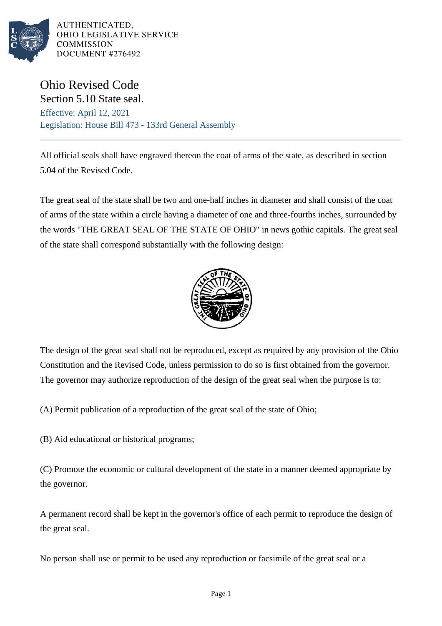

AUTHENTICATED. OHIO LEGISLATIVE SERVICE **COMMISSION** DOCUMENT #276492

Ohio Revised Code

Section 5.10 State seal. Effective: April 12, 2021 Legislation: House Bill 473 - 133rd General Assembly

All official seals shall have engraved thereon the coat of arms of the state, as described in section 5.04 of the Revised Code.

The great seal of the state shall be two and one-half inches in diameter and shall consist of the coat of arms of the state within a circle having a diameter of one and three-fourths inches, surrounded by the words "THE GREAT SEAL OF THE STATE OF OHIO" in news gothic capitals. The great seal of the state shall correspond substantially with the following design:



The design of the great seal shall not be reproduced, except as required by any provision of the Ohio Constitution and the Revised Code, unless permission to do so is first obtained from the governor. The governor may authorize reproduction of the design of the great seal when the purpose is to:

(A) Permit publication of a reproduction of the great seal of the state of Ohio;

(B) Aid educational or historical programs;

(C) Promote the economic or cultural development of the state in a manner deemed appropriate by the governor.

A permanent record shall be kept in the governor's office of each permit to reproduce the design of the great seal.

No person shall use or permit to be used any reproduction or facsimile of the great seal or a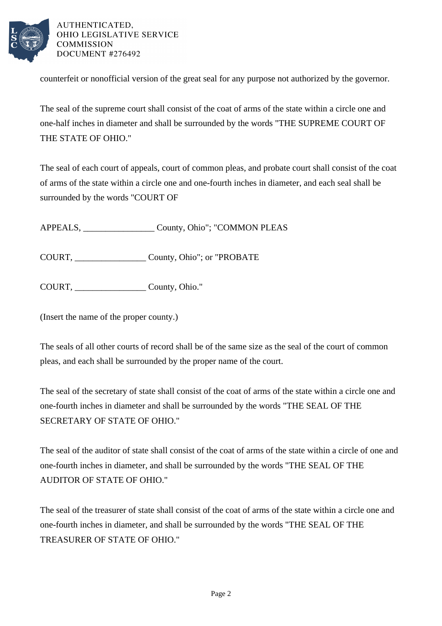

AUTHENTICATED, OHIO LEGISLATIVE SERVICE **COMMISSION** DOCUMENT #276492

counterfeit or nonofficial version of the great seal for any purpose not authorized by the governor.

The seal of the supreme court shall consist of the coat of arms of the state within a circle one and one-half inches in diameter and shall be surrounded by the words "THE SUPREME COURT OF THE STATE OF OHIO."

The seal of each court of appeals, court of common pleas, and probate court shall consist of the coat of arms of the state within a circle one and one-fourth inches in diameter, and each seal shall be surrounded by the words "COURT OF

APPEALS, \_\_\_\_\_\_\_\_\_\_\_\_\_\_\_\_ County, Ohio"; "COMMON PLEAS

COURT, County, Ohio"; or "PROBATE

COURT, \_\_\_\_\_\_\_\_\_\_\_\_\_\_\_\_ County, Ohio."

(Insert the name of the proper county.)

The seals of all other courts of record shall be of the same size as the seal of the court of common pleas, and each shall be surrounded by the proper name of the court.

The seal of the secretary of state shall consist of the coat of arms of the state within a circle one and one-fourth inches in diameter and shall be surrounded by the words "THE SEAL OF THE SECRETARY OF STATE OF OHIO."

The seal of the auditor of state shall consist of the coat of arms of the state within a circle of one and one-fourth inches in diameter, and shall be surrounded by the words "THE SEAL OF THE AUDITOR OF STATE OF OHIO."

The seal of the treasurer of state shall consist of the coat of arms of the state within a circle one and one-fourth inches in diameter, and shall be surrounded by the words "THE SEAL OF THE TREASURER OF STATE OF OHIO."